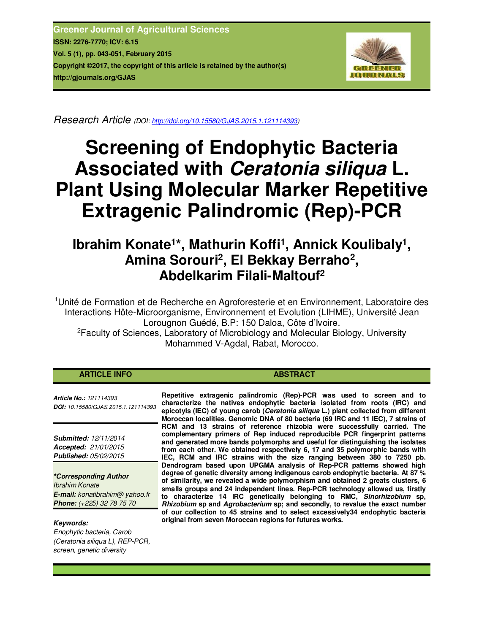**Greener Journal of Agricultural Sciences ISSN: 2276-7770; ICV: 6.15 Vol. 5 (1), pp. 043-051, February 2015 Copyright ©2017, the copyright of this article is retained by the author(s) http://gjournals.org/GJAS**



*Research Article (DOI: http://doi.org/10.15580/GJAS.2015.1.121114393)* 

# **Screening of Endophytic Bacteria Associated with** *Ceratonia siliqua* **L. Plant Using Molecular Marker Repetitive Extragenic Palindromic (Rep)-PCR**

# Ibrahim Konate<sup>1\*</sup>, Mathurin Koffi<sup>1</sup>, Annick Koulibaly<sup>1</sup>, **Amina Sorouri<sup>2</sup> , El Bekkay Berraho<sup>2</sup> , Abdelkarim Filali-Maltouf<sup>2</sup>**

<sup>1</sup>Unité de Formation et de Recherche en Agroforesterie et en Environnement, Laboratoire des Interactions Hôte-Microorganisme, Environnement et Evolution (LIHME), Université Jean Lorougnon Guédé, B.P: 150 Daloa, Côte d'Ivoire.

<sup>2</sup>Faculty of Sciences, Laboratory of Microbiology and Molecular Biology, University Mohammed V-Agdal, Rabat, Morocco.

| <b>ARTICLE INFO</b> |
|---------------------|
|---------------------|

*Article No.: 121114393 DOI: 10.15580/GJAS.2015.1.121114393*

*Submitted: 12/11/2014 Accepted: 21/01/2015 Published: 05/02/2015*

*\*Corresponding Author Ibrahim Konate E-mail: konatibrahim@ yahoo.fr Phone: (+225) 32 78 75 70*

# *Keywords:*

*Enophytic bacteria, Carob (Ceratonia siliqua L), REP-PCR, screen, genetic diversity*

**Repetitive extragenic palindromic (Rep)-PCR was used to screen and to characterize the natives endophytic bacteria isolated from roots (IRC) and epicotyls (IEC) of young carob (***Ceratonia siliqua* **L.) plant collected from different Moroccan localities. Genomic DNA of 80 bacteria (69 IRC and 11 IEC), 7 strains of RCM and 13 strains of reference rhizobia were successfully carried. The complementary primers of Rep induced reproducible PCR fingerprint patterns and generated more bands polymorphs and useful for distinguishing the isolates from each other. We obtained respectively 6, 17 and 35 polymorphic bands with IEC, RCM and IRC strains with the size ranging between 380 to 7250 pb. Dendrogram based upon UPGMA analysis of Rep-PCR patterns showed high degree of genetic diversity among indigenous carob endophytic bacteria. At 87 % of similarity, we revealed a wide polymorphism and obtained 2 greats clusters, 6 smalls groups and 24 independent lines. Rep-PCR technology allowed us, firstly to characterize 14 IRC genetically belonging to RMC,** *Sinorhizobium* **sp,**  *Rhizobium* **sp and** *Agrobacterium* **sp; and secondly, to revalue the exact number of our collection to 45 strains and to select excessively34 endophytic bacteria original from seven Moroccan regions for futures works.** 

**ABSTRACT**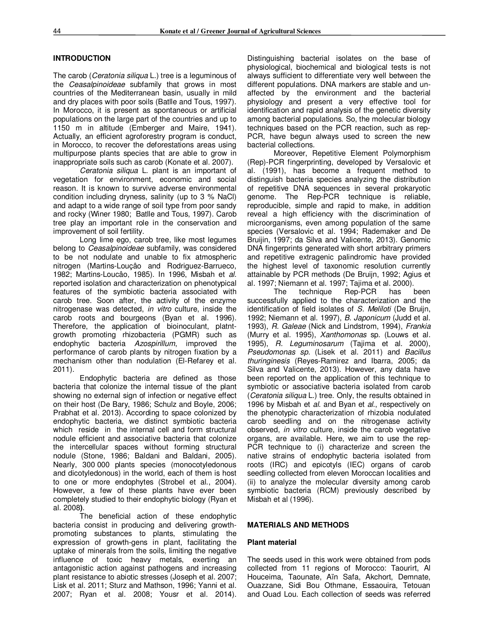#### **INTRODUCTION**

The carob (*Ceratonia siliqua* L.) tree is a leguminous of the *Ceasalpinoideae* subfamily that grows in most countries of the Mediterranean basin, usually in mild and dry places with poor soils (Batlle and Tous, 1997). In Morocco, it is present as spontaneous or artificial populations on the large part of the countries and up to 1150 m in altitude (Emberger and Maire, 1941). Actually, an efficient agroforestry program is conduct, in Morocco, to recover the deforestations areas using multipurpose plants species that are able to grow in inappropriate soils such as carob (Konate et al. 2007).

*Ceratonia siliqua* L. plant is an important of vegetation for environment, economic and social reason. It is known to survive adverse environmental condition including dryness, salinity (up to 3 % NaCl) and adapt to a wide range of soil type from poor sandy and rocky (Winer 1980; Batlle and Tous, 1997). Carob tree play an important role in the conservation and improvement of soil fertility.

Long lime ego, carob tree, like most legumes belong to *Ceasalpinoideae* subfamily, was considered to be not nodulate and unable to fix atmospheric nitrogen (Martins-Louçâo and Rodriguez-Barrueco, 1982; Martins-Loucâo, 1985). In 1996, Misbah et *al*. reported isolation and characterization on phenotypical features of the symbiotic bacteria associated with carob tree. Soon after, the activity of the enzyme nitrogenase was detected, *in vitro* culture, inside the carob roots and bourgeons (Byan et al. 1996). Therefore, the application of bioinoculant, platntgrowth promoting rhizobacteria (PGMR) such as endophytic bacteria *Azospirillum*, improved the performance of carob plants by nitrogen fixation by a mechanism other than nodulation (El-Refarey et al. 2011).

Endophytic bacteria are defined as those bacteria that colonize the internal tissue of the plant showing no external sign of infection or negative effect on their host (De Bary, 1986; Schulz and Boyle, 2006; Prabhat et al. 2013). According to space colonized by endophytic bacteria, we distinct symbiotic bacteria which reside in the internal cell and form structural nodule efficient and associative bacteria that colonize the intercellular spaces without forming structural nodule (Stone, 1986; Baldani and Baldani, 2005). Nearly, 300 000 plants species (monocotyledonous and dicotyledonous) in the world, each of them is host to one or more endophytes (Strobel et al., 2004). However, a few of these plants have ever been completely studied to their endophytic biology (Ryan et al. 2008**)**.

The beneficial action of these endophytic bacteria consist in producing and delivering growthpromoting substances to plants, stimulating the expression of growth-gens in plant, facilitating the uptake of minerals from the soils, limiting the negative influence of toxic heavy metals, exerting an antagonistic action against pathogens and increasing plant resistance to abiotic stresses (Joseph et al. 2007; Lisk et al. 2011; Sturz and Mathson, 1996; Yanni et al. 2007; Ryan et al. 2008; Yousr et al. 2014).

Distinguishing bacterial isolates on the base of physiological, biochemical and biological tests is not always sufficient to differentiate very well between the different populations. DNA markers are stable and unaffected by the environment and the bacterial physiology and present a very effective tool for identification and rapid analysis of the genetic diversity among bacterial populations. So, the molecular biology techniques based on the PCR reaction, such as rep-PCR, have begun always used to screen the new bacterial collections.

Moreover, Repetitive Element Polymorphism (Rep)-PCR fingerprinting, developed by Versalovic et al. (1991), has become a frequent method to distinguish bacteria species analyzing the distribution of repetitive DNA sequences in several prokaryotic genome. The Rep-PCR technique is reliable, reproducible, simple and rapid to make, in addition reveal a high efficiency with the discrimination of microorganisms, even among population of the same species (Versalovic et al. 1994; Rademaker and De Bruijin, 1997; da Silva and Valicente, 2013). Genomic DNA fingerprints generated with short arbitrary primers and repetitive extragenic palindromic have provided the highest level of taxonomic resolution currently attainable by PCR methods (De Bruijn, 1992; Agius et al. 1997; Niemann et al. 1997; Tajima et al. 2000).

The technique Rep-PCR has been successfully applied to the characterization and the identification of field isolates of *S. Meliloti* (De Bruijn, 1992; Niemann et al. 1997), *B. Japonicum* (Judd et al. 1993), *R. Galeae* (Nick and Lindstrom, 1994), *Frankia* (Murry et al. 1995), *Xanthomonas* sp. (Louws et al. 1995), *R. Leguminosarum* (Tajima et al. 2000), *Pseudomonas sp*. (Lisek et al. 2011) and *Bacillus thuringinesis* (Reyes-Ramirez and Ibarra, 2005; da Silva and Valicente, 2013). However, any data have been reported on the application of this technique to symbiotic or associative bacteria isolated from carob (*Ceratonia siliqua* L.) tree. Only, the results obtained in 1996 by Misbah et *al*. and Byan et *al*., respectively on the phenotypic characterization of rhizobia nodulated carob seedling and on the nitrogenase activity observed, *in vitro* culture, inside the carob vegetative organs, are available. Here, we aim to use the rep-PCR technique to (i) characterize and screen the native strains of endophytic bacteria isolated from roots (IRC) and epicotyls (IEC) organs of carob seedling collected from eleven Moroccan localities and (ii) to analyze the molecular diversity among carob symbiotic bacteria (RCM) previously described by Misbah et al (1996).

#### **MATERIALS AND METHODS**

#### **Plant material**

The seeds used in this work were obtained from pods collected from 11 regions of Morocco: Taourirt, Al Houceima, Taounate, Aïn Safa, Akchort, Demnate, Ouazzane, Sidi Bou Othmane, Essaouira, Tetouan and Ouad Lou. Each collection of seeds was referred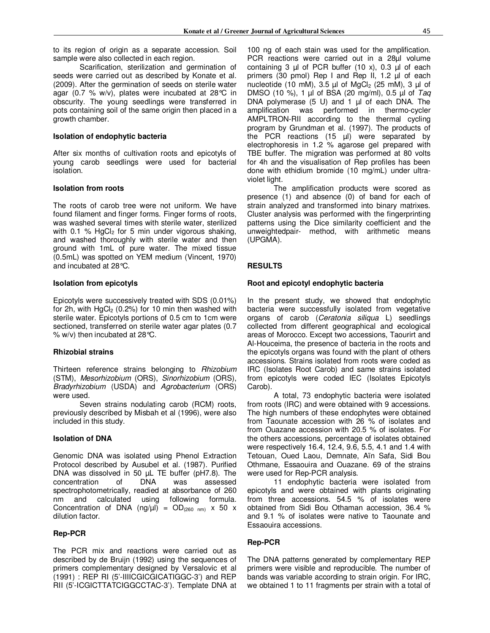to its region of origin as a separate accession. Soil sample were also collected in each region.

Scarification, sterilization and germination of seeds were carried out as described by Konate et al. (2009). After the germination of seeds on sterile water agar (0.7 % w/v), plates were incubated at  $28^{\circ}$ C in obscurity. The young seedlings were transferred in pots containing soil of the same origin then placed in a growth chamber.

#### **Isolation of endophytic bacteria**

After six months of cultivation roots and epicotyls of young carob seedlings were used for bacterial isolation.

#### **Isolation from roots**

The roots of carob tree were not uniform. We have found filament and finger forms. Finger forms of roots, was washed several times with sterile water, sterilized with 0.1 % HgCl<sub>2</sub> for 5 min under vigorous shaking, and washed thoroughly with sterile water and then ground with 1mL of pure water. The mixed tissue (0.5mL) was spotted on YEM medium (Vincent, 1970) and incubated at 28°C.

#### **Isolation from epicotyls**

Epicotyls were successively treated with SDS (0.01%) for 2h, with  $HgCl<sub>2</sub>$  (0.2%) for 10 min then washed with sterile water. Epicotyls portions of 0.5 cm to 1cm were sectioned, transferred on sterile water agar plates (0.7 % w/v) then incubated at 28°C.

#### **Rhizobial strains**

Thirteen reference strains belonging to *Rhizobium* (STM), *Mesorhizobium* (ORS), *Sinorhizobium* (ORS), *Bradyrhizobium* (USDA) and *Agrobacterium* (ORS) were used.

Seven strains nodulating carob (RCM) roots, previously described by Misbah et al (1996), were also included in this study.

#### **Isolation of DNA**

Genomic DNA was isolated using Phenol Extraction Protocol described by Ausubel et al. (1987). Purified DNA was dissolved in 50 µL TE buffer (pH7.8). The concentration of DNA was assessed spectrophotometrically, readied at absorbance of 260 nm and calculated using following formula. Concentration of DNA (ng/ $\mu$ I) = OD<sub>(260 nm)</sub> x 50 x dilution factor.

#### **Rep-PCR**

The PCR mix and reactions were carried out as described by de Bruijn (1992) using the sequences of primers complementary designed by Versalovic et al (1991) : REP RI (5'-IIIICGICGICATIGGC-3') and REP RII (5'-ICGICTTATCIGGCCTAC-3'). Template DNA at

100 ng of each stain was used for the amplification. PCR reactions were carried out in a 28µl volume containing 3 µl of PCR buffer (10 x), 0.3 µl of each primers (30 pmol) Rep I and Rep II, 1.2 µl of each nucleotide (10 mM), 3.5  $\mu$ l of MgCl<sub>2</sub> (25 mM), 3  $\mu$ l of DMSO (10 %), 1 µl of BSA (20 mg/ml), 0.5 µl of *Taq* DNA polymerase  $(5 \text{ U})$  and 1  $\mu$  of each DNA. The amplification was performed in thermo-cycler AMPLTRON-RII according to the thermal cycling program by Grundman et al. (1997). The products of the PCR reactions  $(15 \text{ }\mu\text{)}$  were separated by electrophoresis in 1.2 % agarose gel prepared with TBE buffer. The migration was performed at 80 volts for 4h and the visualisation of Rep profiles has been done with ethidium bromide (10 mg/mL) under ultraviolet light.

The amplification products were scored as presence (1) and absence (0) of band for each of strain analyzed and transformed into binary matrixes. Cluster analysis was performed with the fingerprinting patterns using the Dice similarity coefficient and the unweightedpair- method, with arithmetic means (UPGMA).

#### **RESULTS**

#### **Root and epicotyl endophytic bacteria**

In the present study, we showed that endophytic bacteria were successfully isolated from vegetative organs of carob (*Ceratonia siliqua* L) seedlings collected from different geographical and ecological areas of Morocco. Except two accessions, Taourirt and Al-Houceima, the presence of bacteria in the roots and the epicotyls organs was found with the plant of others accessions. Strains isolated from roots were coded as IRC (Isolates Root Carob) and same strains isolated from epicotyls were coded IEC (Isolates Epicotyls Carob).

A total, 73 endophytic bacteria were isolated from roots (IRC) and were obtained with 9 accessions. The high numbers of these endophytes were obtained from Taounate accession with 26 % of isolates and from Ouazane accession with 20.5 % of isolates. For the others accessions, percentage of isolates obtained were respectively 16.4, 12.4, 9.6, 5.5, 4.1 and 1.4 with Tetouan, Oued Laou, Demnate, Aïn Safa, Sidi Bou Othmane, Essaouira and Ouazane. 69 of the strains were used for Rep-PCR analysis.

11 endophytic bacteria were isolated from epicotyls and were obtained with plants originating from three accessions. 54.5 % of isolates were obtained from Sidi Bou Othaman accession, 36.4 % and 9.1 % of isolates were native to Taounate and Essaouira accessions.

#### **Rep-PCR**

The DNA patterns generated by complementary REP primers were visible and reproducible. The number of bands was variable according to strain origin. For IRC, we obtained 1 to 11 fragments per strain with a total of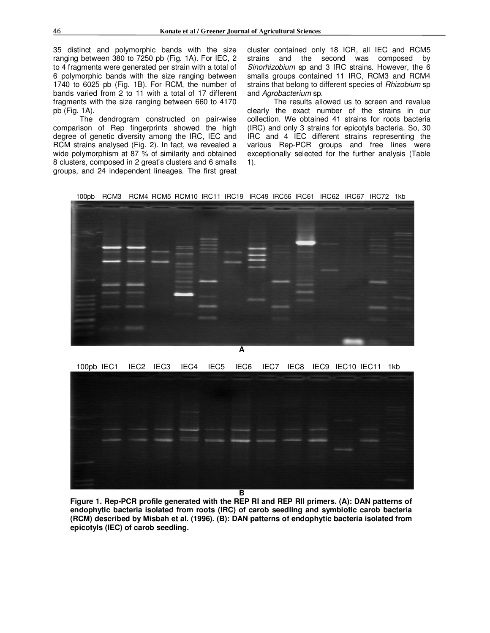35 distinct and polymorphic bands with the size ranging between 380 to 7250 pb (Fig. 1A). For IEC, 2 to 4 fragments were generated per strain with a total of 6 polymorphic bands with the size ranging between 1740 to 6025 pb (Fig. 1B). For RCM, the number of bands varied from 2 to 11 with a total of 17 different fragments with the size ranging between 660 to 4170 pb (Fig. 1A).

The dendrogram constructed on pair-wise comparison of Rep fingerprints showed the high degree of genetic diversity among the IRC, IEC and RCM strains analysed (Fig. 2). In fact, we revealed a wide polymorphism at 87 % of similarity and obtained 8 clusters, composed in 2 great's clusters and 6 smalls groups, and 24 independent lineages. The first great

cluster contained only 18 ICR, all IEC and RCM5 strains and the second was composed by *Sinorhizobium* sp and 3 IRC strains. However, the 6 smalls groups contained 11 IRC, RCM3 and RCM4 strains that belong to different species of *Rhizobium* sp and *Agrobacterium* sp.

The results allowed us to screen and revalue clearly the exact number of the strains in our collection. We obtained 41 strains for roots bacteria (IRC) and only 3 strains for epicotyls bacteria. So, 30 IRC and 4 IEC different strains representing the various Rep-PCR groups and free lines were exceptionally selected for the further analysis (Table 1).

100pb RCM3 RCM4 RCM5 RCM10 IRC11 IRC19 IRC49 IRC56 IRC61 IRC62 IRC67 IRC72 1kb



**A** 

100pb IEC1 IEC2 IEC3 IEC4 IEC5 IEC6 IEC7 IEC8 IEC9 IEC10 IEC11 1kb



**Figure 1. Rep-PCR profile generated with the REP RI and REP RII primers. (A): DAN patterns of endophytic bacteria isolated from roots (IRC) of carob seedling and symbiotic carob bacteria (RCM) described by Misbah et al. (1996). (B): DAN patterns of endophytic bacteria isolated from epicotyls (IEC) of carob seedling.**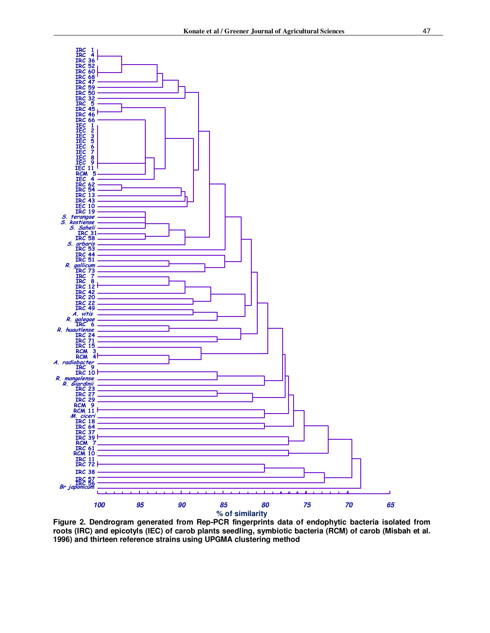

**Figure 2. Dendrogram generated from Rep-PCR fingerprints data of endophytic bacteria isolated from roots (IRC) and epicotyls (IEC) of carob plants seedling, symbiotic bacteria (RCM) of carob (Misbah et al. 1996) and thirteen reference strains using UPGMA clustering method**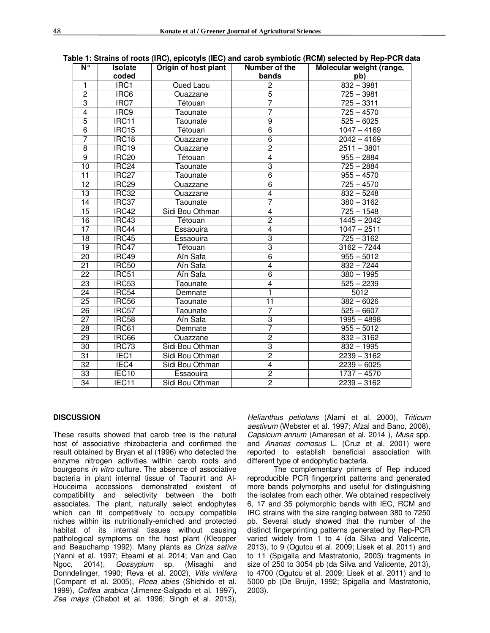| $N^{\circ}$     | <b>Isolate</b>    | Origin of host plant | Number of the  | Molecular weight (range, |
|-----------------|-------------------|----------------------|----------------|--------------------------|
|                 | coded             |                      | bands          | pb)                      |
| $\mathbf{1}$    | IRC1              | Oued Laou            | $\overline{2}$ | $832 - 3981$             |
| $\overline{2}$  | IRC6              | Ouazzane             | $\overline{5}$ | $725 - 3981$             |
| 3               | IRC7              | Tétouan              | 7              | $725 - 3311$             |
| 4               | IRC <sub>9</sub>  | Taounate             | 7              | $725 - 4570$             |
| $\overline{5}$  | IRC11             | Taounate             | $\overline{9}$ | $525 - 6025$             |
| 6               | <b>IRC15</b>      | Tétouan              | $\overline{6}$ | $1047 - 4169$            |
| 7               | IRC18             | Ouazzane             | $\overline{6}$ | $2042 - 4169$            |
| 8               | IRC19             | Ouazzane             | $\overline{2}$ | $2511 - 3801$            |
| $\overline{9}$  | IRC <sub>20</sub> | Tétouan              | 4              | $955 - 2884$             |
| 10              | IRC <sub>24</sub> | Taounate             | 3              | $\overline{725} - 2884$  |
| $\overline{11}$ | IRC <sub>27</sub> | Taounate             | $\overline{6}$ | $955 - 4570$             |
| $\overline{12}$ | IRC <sub>29</sub> | Ouazzane             | $\overline{6}$ | $725 - 4570$             |
| $\overline{13}$ | IRC32             | Ouazzane             | 4              | $832 - 5248$             |
| 14              | IRC37             | Taounate             | 7              | $380 - 3162$             |
| 15              | IRC42             | Sidi Bou Othman      | 4              | $725 - 1548$             |
| $\overline{16}$ | IRC43             | Tétouan              | $\overline{2}$ | $1445 - 2042$            |
| 17              | IRC44             | Essaouira            | $\overline{4}$ | $1047 - 2511$            |
| 18              | IRC45             | Essaouira            | $\overline{3}$ | $725 - 3162$             |
| $\overline{19}$ | IRC47             | Tétouan              | $\overline{3}$ | $3162 - 7244$            |
| $\overline{20}$ | IRC49             | Aïn Safa             | $\overline{6}$ | $955 - 5012$             |
| $\overline{21}$ | <b>IRC50</b>      | Aïn Safa             | $\overline{4}$ | $832 - 7244$             |
| $\overline{22}$ | IRC51             | Aïn Safa             | $\overline{6}$ | $380 - 1995$             |
| $\overline{23}$ | IRC53             | Taounate             | 4              | $525 - 2239$             |
| $\overline{24}$ | IRC54             | Demnate              | 1              | 5012                     |
| $\overline{25}$ | IRC56             | Taounate             | 11             | $382 - 6026$             |
| $\overline{26}$ | IRC57             | Taounate             | 7              | $525 - 6607$             |
| $\overline{27}$ | IRC58             | Ain Safa             | $\overline{3}$ | $1995 - 4898$            |
| $\overline{28}$ | <b>IRC61</b>      | Demnate              | $\overline{7}$ | $955 - 5012$             |
| 29              | IRC66             | Ouazzane             | $\overline{2}$ | $\overline{832} - 3162$  |
| 30              | IRC73             | Sidi Bou Othman      | 3              | $832 - 1995$             |
| 31              | IEC <sub>1</sub>  | Sidi Bou Othman      | $\overline{2}$ | $2239 - 3162$            |
| $\overline{32}$ | IEC <sub>4</sub>  | Sidi Bou Othman      | $\overline{4}$ | $2239 - 6025$            |
| 33              | IEC <sub>10</sub> | Essaouira            | $\overline{2}$ | $1737 - 4570$            |
| 34              | IEC11             | Sidi Bou Othman      | $\overline{2}$ | $2239 - 3162$            |

#### **Table 1: Strains of roots (IRC), epicotyls (IEC) and carob symbiotic (RCM) selected by Rep-PCR data**

#### **DISCUSSION**

These results showed that carob tree is the natural host of associative rhizobacteria and confirmed the result obtained by Bryan et al (1996) who detected the enzyme nitrogen activities within carob roots and bourgeons *in vitro* culture. The absence of associative bacteria in plant internal tissue of Taourirt and Al-Houceima accessions demonstrated existent of compatibility and selectivity between the both associates. The plant, naturally select endophytes which can fit competitively to occupy compatible niches within its nutritionally-enriched and protected habitat of its internal tissues without causing pathological symptoms on the host plant (Kleopper and Beauchamp 1992). Many plants as *Oriza sativa* (Yanni et al. 1997; Eteami et al. 2014; Van and Cao Ngoc, 2014), *Gossypium* sp. (Misaghi and Donndelinger, 1990; Reva et al. 2002), *Vitis vinifera* (Compant et al. 2005), *Picea abies* (Shichido et al. 1999), *Coffea arabica* (Jimenez-Salgado et al. 1997), *Zea mays* (Chabot et al. 1996; Singh et al. 2013),

*Helianthus petiolaris* (Alami et al. 2000), *Triticum aestivum* (Webster et al. 1997; Afzal and Bano, 2008), *Capsicum annum* (Amaresan et al. 2014 ), *Musa* spp. and *Ananas comosus* L. (Cruz et al. 2001) were reported to establish beneficial association with different type of endophytic bacteria.

The complementary primers of Rep induced reproducible PCR fingerprint patterns and generated more bands polymorphs and useful for distinguishing the isolates from each other. We obtained respectively 6, 17 and 35 polymorphic bands with IEC, RCM and IRC strains with the size ranging between 380 to 7250 pb. Several study showed that the number of the distinct fingerprinting patterns generated by Rep-PCR varied widely from 1 to 4 (da Silva and Valicente, 2013), to 9 (Ogutcu et al. 2009; Lisek et al. 2011) and to 11 (Spigalla and Mastratonio, 2003) fragments in size of 250 to 3054 pb (da Silva and Valicente, 2013), to 4700 (Ogutcu et al. 2009; Lisek et al. 2011) and to 5000 pb (De Bruijn, 1992; Spigalla and Mastratonio, 2003).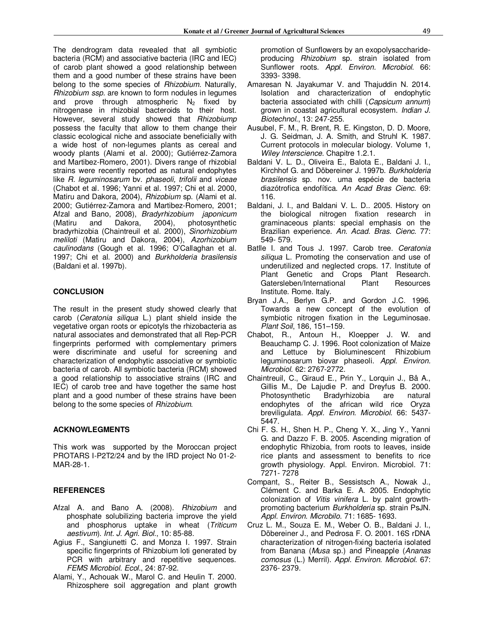The dendrogram data revealed that all symbiotic bacteria (RCM) and associative bacteria (IRC and IEC) of carob plant showed a good relationship between them and a good number of these strains have been belong to the some species of *Rhizobium*. Naturally, *Rhizobium ssp.* are known to form nodules in legumes and prove through atmospheric  $N_2$  fixed by nitrogenase in rhizobial bacteroids to their host. However, several study showed that *Rhizobiump*  possess the faculty that allow to them change their classic ecological niche and associate beneficially with a wide host of non-legumes plants as cereal and woody plants (Alami et al. 2000); Gutiérrez-Zamora and Martibez-Romero, 2001). Divers range of rhizobial strains were recently reported as natural endophytes like *R. leguminosarum* bv. *phaseoli, trifolii* and *viceae* (Chabot et al. 1996; Yanni et al. 1997; Chi et al. 2000, Matiru and Dakora, 2004), *Rhizobium* sp. (Alami et al. 2000; Gutiérrez-Zamora and Martibez-Romero, 2001; Afzal and Bano, 2008), *Bradyrhizobium japonicum* (Matiru and Dakora, 2004), photosynthetic bradyrhizobia (Chaintreuil et al. 2000), *Sinorhizobium meliloti* (Matiru and Dakora, 2004), *Azorhizobium caulinodans* (Gough et al. 1996; O'Callaghan et al. 1997; Chi et al. 2000) and *Burkholderia brasilensis* (Baldani et al. 1997b).

# **CONCLUSION**

The result in the present study showed clearly that carob (*Ceratonia siliqua* L.) plant shield inside the vegetative organ roots or epicotyls the rhizobacteria as natural associates and demonstrated that all Rep-PCR fingerprints performed with complementary primers were discriminate and useful for screening and characterization of endophytic associative or symbiotic bacteria of carob. All symbiotic bacteria (RCM) showed a good relationship to associative strains (IRC and IEC) of carob tree and have together the same host plant and a good number of these strains have been belong to the some species of *Rhizobium*.

# **ACKNOWLEGMENTS**

This work was supported by the Moroccan project PROTARS I-P2T2/24 and by the IRD project No 01-2- MAR-28-1.

# **REFERENCES**

- Afzal A. and Bano A. (2008). *Rhizobium* and phosphate solubilizing bacteria improve the yield and phosphorus uptake in wheat (*Triticum aestivum*). *Int. J. Agri. Biol*., 10: 85-88.
- Agius F., Sangiunetti C. and Monza I. 1997. Strain specific fingerprints of Rhizobium loti generated by PCR with arbitrary and repetitive sequences. *FEMS Microbiol. Ecol*., 24: 87-92.
- Alami, Y., Achouak W., Marol C. and Heulin T. 2000. Rhizosphere soil aggregation and plant growth

promotion of Sunflowers by an exopolysaccharideproducing *Rhizobium* sp. strain isolated from Sunflower roots. *Appl. Environ. Microbiol*. 66: 3393- 3398.

- Amaresan N. Jayakumar V. and Thajuddin N. 2014. Isolation and characterization of endophytic bacteria associated with chilli (*Capsicum annum*) grown in coastal agricultural ecosystem. *Indian J. Biotechnol*., 13: 247-255.
- Ausubel, F. M., R. Brent, R. E. Kingston, D. D. Moore, J. G. Seidman, J. A. Smith, and Struhl K. 1987. Current protocols in molecular biology. Volume 1, *Wiley Interscience*. Chapitre 1.2.1.
- Baldani V. L. D., Oliveira E., Balota E., Baldani J. I., Kirchhof G. and Döbereiner J. 1997b. *Burkholderia brasilensis* sp. nov. uma espécie de bacteria diazótrofica endofítica. *An Acad Bras Cienc*. 69: 116.
- Baldani, J. I., and Baldani V. L. D.. 2005. History on the biological nitrogen fixation research in graminaceous plants: special emphasis on the Brazilian experience. *An. Acad. Bras. Cienc*. 77: 549- 579.
- Batlle I. and Tous J. 1997. Carob tree. *Ceratonia siliqua* L. Promoting the conservation and use of underutilized and neglected crops. 17. Institute of Plant Genetic and Crops Plant Research. Gatersleben/International Plant Resources Institute. Rome. Italy.
- Bryan J.A., Berlyn G.P. and Gordon J.C. 1996. Towards a new concept of the evolution of symbiotic nitrogen fixation in the Leguminosae. *Plant Soil*, 186, 151–159.
- Chabot, R., Antoun H., Kloepper J. W. and Beauchamp C. J. 1996. Root colonization of Maize and Lettuce by Bioluminescent Rhizobium leguminosarum biovar phaseoli. *Appl. Environ. Microbiol*. 62: 2767-2772.
- Chaintreuil, C., Giraud E., Prin Y., Lorquin J., Bâ A., Gillis M., De Lajudie P. and Dreyfus B. 2000. Photosynthetic Bradyrhizobia are natural endophytes of the african wild rice Oryza breviligulata. *Appl. Environ. Microbiol*. 66: 5437- 5447.
- Chi F. S. H., Shen H. P., Cheng Y. X., Jing Y., Yanni G. and Dazzo F. B. 2005. Ascending migration of endophytic Rhizobia, from roots to leaves, inside rice plants and assessment to benefits to rice growth physiology. Appl. Environ. Microbiol. 71: 7271- 7278
- Compant, S., Reiter B., Sessistsch A., Nowak J., Clément C. and Barka E. A. 2005. Endophytic colonization of *Vitis vinifera* L. by palnt growthpromoting bacterium *Burkholderia* sp. strain PsJN. *Appl. Environ. Microbilo*. 71: 1685- 1693.
- Cruz L. M., Souza E. M., Weber O. B., Baldani J. I., Döbereiner J., and Pedrosa F. O. 2001. 16S rDNA characterization of nitrogen-fixing bacteria isolated from Banana (*Musa* sp.) and Pineapple (*Ananas comosus* (L.) Merril). *Appl. Environ. Microbiol*. 67: 2376- 2379.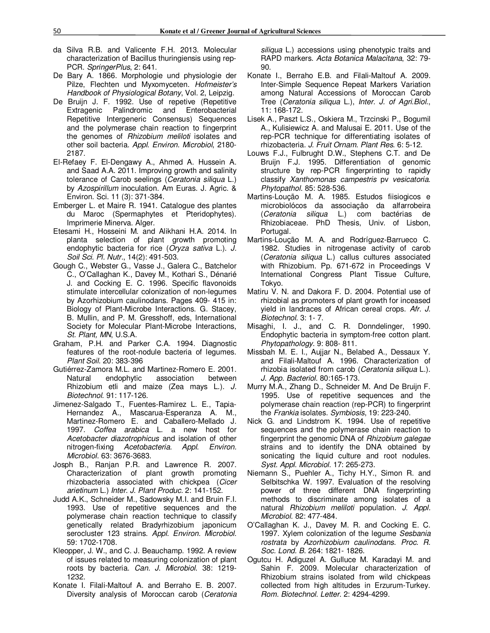- da Silva R.B. and Valicente F.H. 2013. Molecular characterization of Bacillus thuringiensis using rep-PCR. *SpringerPlus*, 2: 641.
- De Bary A. 1866. Morphologie und physiologie der Pilze, Flechten und Myxomyceten. *Hofmeister's Handbook of Physiological Botany*, Vol. 2, Leipzig.
- De Bruijn J. F. 1992. Use of repetive (Repetitive Extragenic Palindromic and Enterobacterial Repetitive Intergeneric Consensus) Sequences and the polymerase chain reaction to fingerprint the genomes of *Rhizobium meliloti* isolates and other soil bacteria. *Appl. Environ. Microbiol*, 2180- 2187.
- El-Refaey F. El-Dengawy A., Ahmed A. Hussein A. and Saad A.A. 2011. Improving growth and salinity tolerance of Carob seelings (*Ceratonia siliqua* L.) by *Azospirillum* inoculation. Am Euras. J. Agric. & Environ. Sci. 11 (3): 371-384.
- Emberger L. et Maire R. 1941. Catalogue des plantes du Maroc (Spermaphytes et Pteridophytes). Imprimerie Minerva. Alger.
- Etesami H., Hosseini M. and Alikhani H.A. 2014. In planta selection of plant growth promoting endophytic bacteria for rice (*Oryza sativa* L.). *J. Soil Sci. Pl. Nutr*., 14(2): 491-503.
- Gough C., Webster G., Vasse J., Galera C., Batchelor C., O'Callaghan K., Davey M., Kothari S., Dénarié J. and Cocking E. C. 1996. Specific flavonoids stimulate intercellular colonization of non-legumes by Azorhizobium caulinodans. Pages 409- 415 in: Biology of Plant-Microbe Interactions. G. Stacey, B. Mullin, and P. M. Gresshoff, eds, International Society for Molecular Plant-Microbe Interactions, *St. Plant, MN*, U.S.A.
- Graham, P.H. and Parker C.A. 1994. Diagnostic features of the root-nodule bacteria of legumes. *Plant Soil*. 20: 383-396
- Gutiérrez-Zamora M.L. and Martinez-Romero E. 2001. Natural endophytic association between Rhizobium etli and maize (Zea mays L.). *J. Biotechnol*. 91: 117-126.
- Jimenez-Salgado T., Fuentes-Ramirez L. E., Tapia-Hernandez A., Mascarua-Esperanza A. M., Martinez-Romero E. and Caballero-Mellado J. 1997. *Coffea arabica* L. a new host for *Acetobacter diazotrophicus* and isolation of other nitrogen-fixing *Acetobacteria*. *Appl. Environ. Microbiol*. 63: 3676-3683.
- Josph B., Ranjan P.R. and Lawrence R. 2007. Characterization of plant growth promoting rhizobacteria associated with chickpea (*Cicer arietinum* L.) *Inter. J. Plant Produc.* 2: 141-152.
- Judd A.K., Schneider M., Sadowsky M.I. and Bruin F.I. 1993. Use of repetitive sequences and the polymerase chain reaction technique to classify genetically related Bradyrhizobium japonicum serocluster 123 strains. *Appl. Environ. Microbiol*. 59: 1702-1708.
- Kleopper, J. W., and C. J. Beauchamp. 1992. A review of issues related to measuring colonization of plant roots by bacteria. *Can. J. Microbiol*. 38: 1219- 1232.
- Konate I. Filali-Maltouf A. and Berraho E. B. 2007. Diversity analysis of Moroccan carob (*Ceratonia*

*siliqua* L.) accessions using phenotypic traits and RAPD markers. *Acta Botanica Malacitana*, 32: 79- 90.

- Konate I., Berraho E.B. and Filali-Maltouf A. 2009. Inter-Simple Sequence Repeat Markers Variation among Natural Accessions of Moroccan Carob Tree (*Ceratonia siliqua* L.), *Inter. J. of Agri.Biol.*, 11: 168-172.
- Lisek A., Paszt L.S., Oskiera M., Trzcinski P., Bogumil A., Kulisiewicz A. and Malusai E. 2011. Use of the rep-PCR technique for differentiating isolates of rhizobacteria. *J. Fruit Ornam. Plant Res*. 6: 5-12.
- Louws F.J., Fulbrught D.W., Stephens C.T. and De Bruijn F.J. 1995. Differentiation of genomic structure by rep-PCR fingerprinting to rapidly classify *Xanthomonas campestris* pv *vesicatoria*. *Phytopathol*. 85: 528-536.
- Martins-Loução M. A. 1985. Estudos fiisiogicos e microbiolócos da associaçâo da alfarrobeira (*Ceratonia siliqua* L.) com bactérias de Rhizobiaceae. PhD Thesis, Univ. of Lisbon, Portugal.
- Martins-Loução M. A. and Rodríguez-Barrueco C. 1982. Studies in nitrogenase activity of carob (*Ceratonia siliqua* L.) callus cultures associated with Rhizobium. Pp. 671-672 in Proceedings V International Congress Plant Tissue Culture, Tokyo.
- Matiru V. N. and Dakora F. D. 2004. Potential use of rhizobial as promoters of plant growth for inceased yield in landraces of African cereal crops. *Afr. J. Biotechnol*. 3: 1- 7.
- Misaghi, I. J., and C. R. Donndelinger, 1990. Endophytic bacteria in symptom-free cotton plant. *Phytopathology*. 9: 808- 811.
- Missbah M. E. I., Aujjar N., Belabed A., Dessaux Y. and Filali-Maltouf A. 1996. Characterization of rhizobia isolated from carob (*Ceratonia siliqua* L.). *J. App. Bacteriol*. 80:165-173.
- Murry M.A., Zhang D., Schneider M. And De Bruijn F. 1995. Use of repetitive sequences and the polymerase chain reaction (rep-PCR) to fingerprint the *Frankia* isolates. *Symbiosis*, 19: 223-240.
- Nick G. and Lindstrom K. 1994. Use of repetitive sequences and the polymerase chain reaction to fingerprint the genomic DNA of *Rhizobium galegae* strains and to identify the DNA obtained by sonicating the liquid culture and root nodules. *Syst. Appl. Microbiol*. 17: 265-273.
- Niemann S., Puehler A., Tichy H.Y., Simon R. and Selbitschka W. 1997. Evaluation of the resolving power of three different DNA fingerprinting methods to discriminate among isolates of a natural *Rhizobium meliloti* population. *J. Appl. Microbiol*. 82: 477-484.
- O'Callaghan K. J., Davey M. R. and Cocking E. C. 1997. Xylem colonization of the legume *Sesbania rostrata* by *Azorhizobium caulinodans*. *Proc. R. Soc. Lond. B*. 264: 1821- 1826.
- Ogutcu H. Adiguzel A. Gulluce M. Karadayi M. and Sahin F. 2009. Molecular characterization of Rhizobium strains isolated from wild chickpeas collected from high altitudes in Erzurum-Turkey. *Rom. Biotechnol. Letter*. 2: 4294-4299.